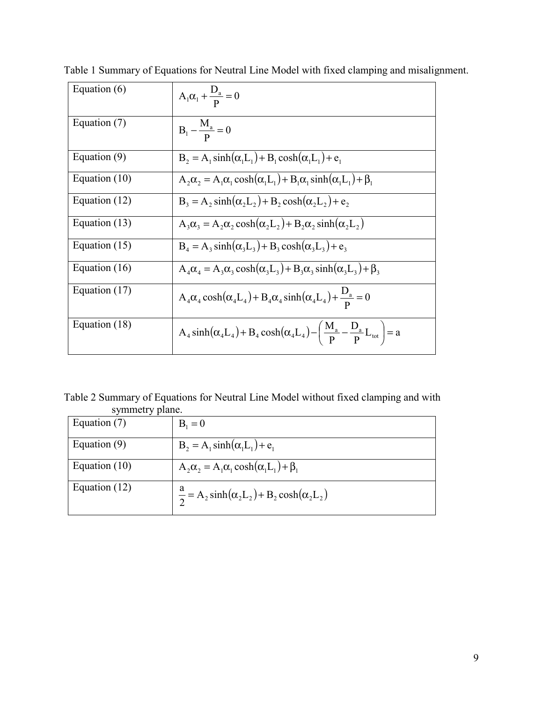| Equation $(6)$  | $A_1 \alpha_1 + \frac{D_a}{p} = 0$                                                                                  |
|-----------------|---------------------------------------------------------------------------------------------------------------------|
| Equation (7)    | $B_1 - \frac{M_a}{D} = 0$                                                                                           |
| Equation (9)    | $B_2 = A_1 \sinh(\alpha_1 L_1) + B_1 \cosh(\alpha_1 L_1) + e_1$                                                     |
| Equation $(10)$ | $A_2\alpha_2 = A_1\alpha_1 \cosh(\alpha_1 L_1) + B_1\alpha_1 \sinh(\alpha_1 L_1) + \beta_1$                         |
| Equation (12)   | $B_3 = A_2 \sinh(\alpha_2 L_2) + B_2 \cosh(\alpha_2 L_2) + e_2$                                                     |
| Equation (13)   | $A_3\alpha_3 = A_2\alpha_2 \cosh(\alpha_2 L_2) + B_2\alpha_2 \sinh(\alpha_2 L_2)$                                   |
| Equation $(15)$ | $B_4 = A_3 \sinh(\alpha_3 L_3) + B_3 \cosh(\alpha_3 L_3) + e_3$                                                     |
| Equation (16)   | $A_4\alpha_4 = A_3\alpha_3 \cosh(\alpha_3 L_3) + B_3\alpha_3 \sinh(\alpha_3 L_3) + \beta_3$                         |
| Equation $(17)$ | $A_4\alpha_4 \cosh(\alpha_4 L_4) + B_4\alpha_4 \sinh(\alpha_4 L_4) + \frac{D_a}{R} = 0$                             |
| Equation (18)   | $A_4 \sinh(\alpha_4 L_4) + B_4 \cosh(\alpha_4 L_4) - \left(\frac{M_a}{p} - \frac{D_a}{p} L_{\text{tot}}\right) = a$ |

Table 1 Summary of Equations for Neutral Line Model with fixed clamping and misalignment.

Table 2 Summary of Equations for Neutral Line Model without fixed clamping and with symmetry plane.

| $\mathcal{L}$ , $\mathcal{L}$ , $\mathcal{L}$ , $\mathcal{L}$ , $\mathcal{L}$ , $\mathcal{L}$ , $\mathcal{L}$ , $\mathcal{L}$ , $\mathcal{L}$ , $\mathcal{L}$ , $\mathcal{L}$ , $\mathcal{L}$ , $\mathcal{L}$ , $\mathcal{L}$ , $\mathcal{L}$ , $\mathcal{L}$ , $\mathcal{L}$ , $\mathcal{L}$ , $\mathcal{L}$ , $\mathcal{L}$ , $\mathcal{L}$ , $\mathcal{L}$ , |                                                                   |
|-----------------------------------------------------------------------------------------------------------------------------------------------------------------------------------------------------------------------------------------------------------------------------------------------------------------------------------------------------------------|-------------------------------------------------------------------|
| Equation (7)                                                                                                                                                                                                                                                                                                                                                    | $B_1 = 0$                                                         |
| Equation $(9)$                                                                                                                                                                                                                                                                                                                                                  | $B_2 = A_1 \sinh(\alpha_1 L_1) + e_1$                             |
| Equation $(10)$                                                                                                                                                                                                                                                                                                                                                 | $A_2\alpha_2 = A_1\alpha_1 \cosh(\alpha_1 L_1) + \beta_1$         |
| Equation $(12)$                                                                                                                                                                                                                                                                                                                                                 | $\frac{a}{2} = A_2 \sinh(\alpha_2 L_2) + B_2 \cosh(\alpha_2 L_2)$ |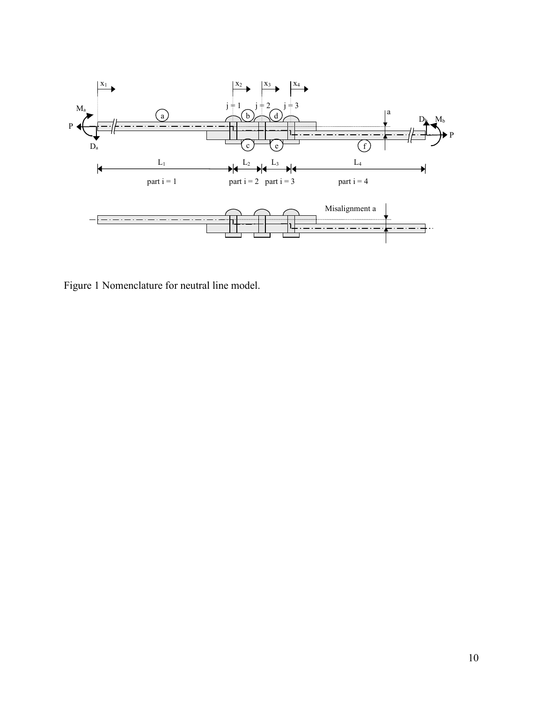

Figure 1 Nomenclature for neutral line model.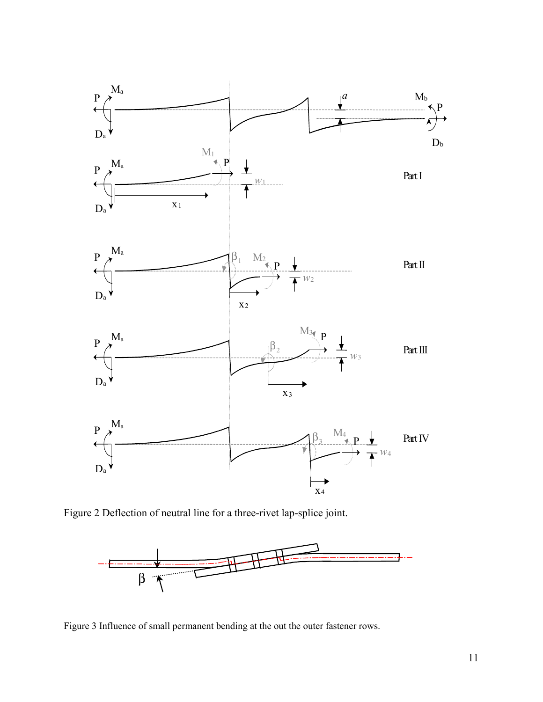

Figure 2 Deflection of neutral line for a three-rivet lap-splice joint.



Figure 3 Influence of small permanent bending at the out the outer fastener rows.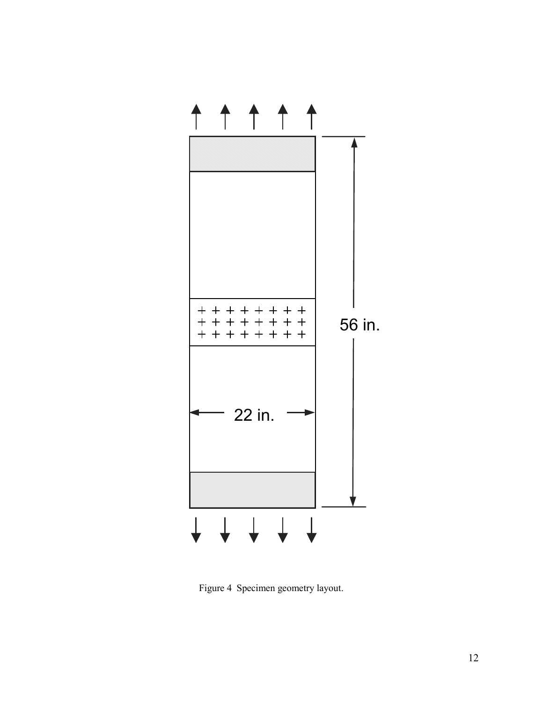

Figure 4 Specimen geometry layout.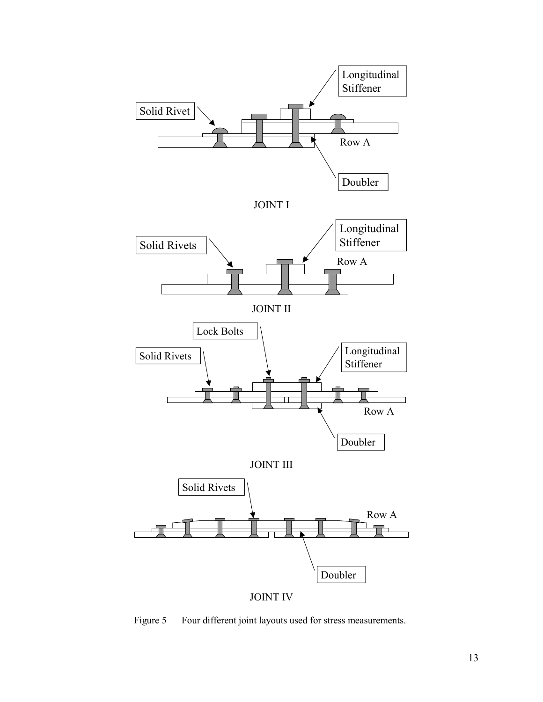

Figure 5 Four different joint layouts used for stress measurements.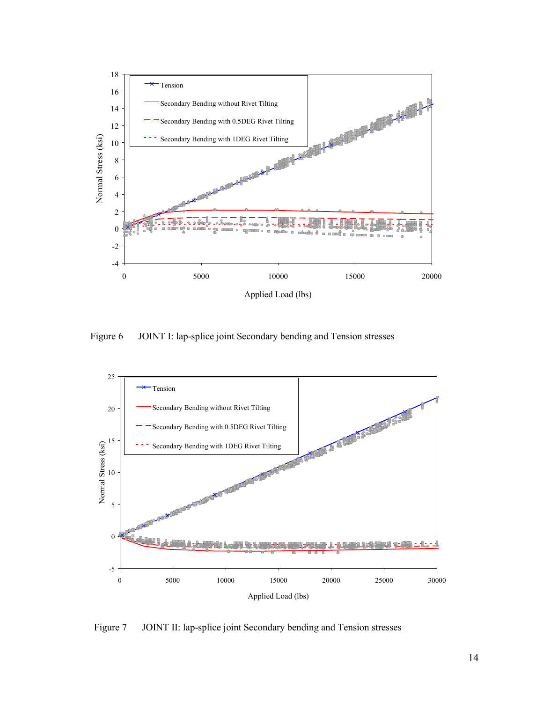

Figure 6 JOINT I: lap-splice joint Secondary bending and Tension stresses



Figure 7 JOINT II: lap-splice joint Secondary bending and Tension stresses